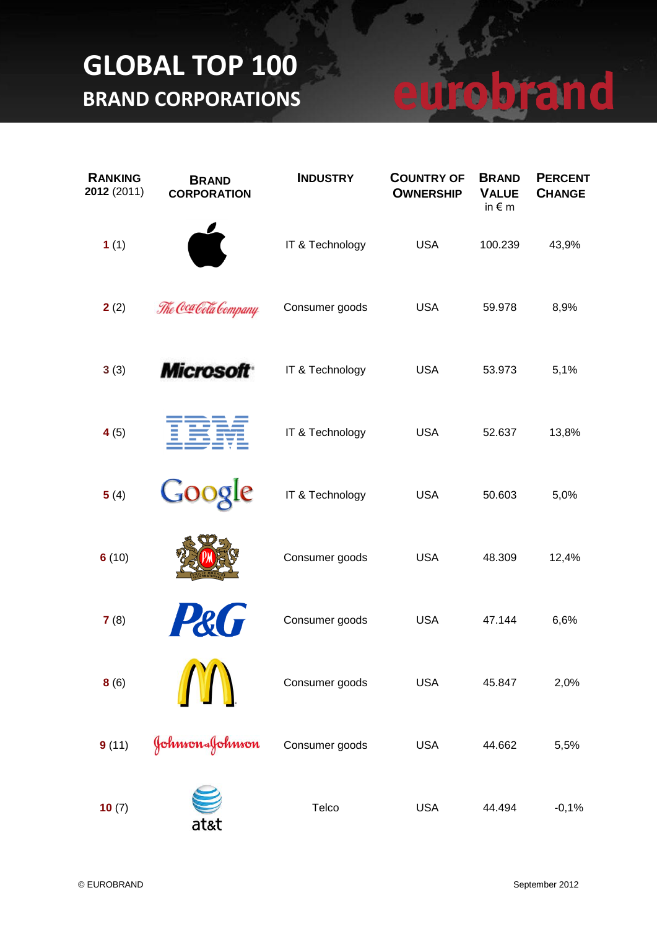#### robrand U

| <b>RANKING</b><br>2012 (2011) | <b>BRAND</b><br><b>CORPORATION</b> | <b>INDUSTRY</b> | <b>COUNTRY OF</b><br><b>OWNERSHIP</b> | <b>BRAND</b><br><b>VALUE</b><br>in $\epsilon$ m | <b>PERCENT</b><br><b>CHANGE</b> |
|-------------------------------|------------------------------------|-----------------|---------------------------------------|-------------------------------------------------|---------------------------------|
| 1(1)                          |                                    | IT & Technology | <b>USA</b>                            | 100.239                                         | 43,9%                           |
| 2(2)                          | The Coca Cola Company              | Consumer goods  | <b>USA</b>                            | 59.978                                          | 8,9%                            |
| 3(3)                          | <b>Microsoft</b>                   | IT & Technology | <b>USA</b>                            | 53.973                                          | 5,1%                            |
| 4(5)                          |                                    | IT & Technology | <b>USA</b>                            | 52.637                                          | 13,8%                           |
| 5(4)                          | Google                             | IT & Technology | <b>USA</b>                            | 50.603                                          | 5,0%                            |
| 6(10)                         |                                    | Consumer goods  | <b>USA</b>                            | 48.309                                          | 12,4%                           |
| 7(8)                          |                                    | Consumer goods  | <b>USA</b>                            | 47.144                                          | 6,6%                            |
| 8(6)                          |                                    | Consumer goods  | <b>USA</b>                            | 45.847                                          | 2,0%                            |
| 9(11)                         | Johnson&Johnson                    | Consumer goods  | <b>USA</b>                            | 44.662                                          | 5,5%                            |
| 10(7)                         | at&t                               | Telco           | <b>USA</b>                            | 44.494                                          | $-0,1%$                         |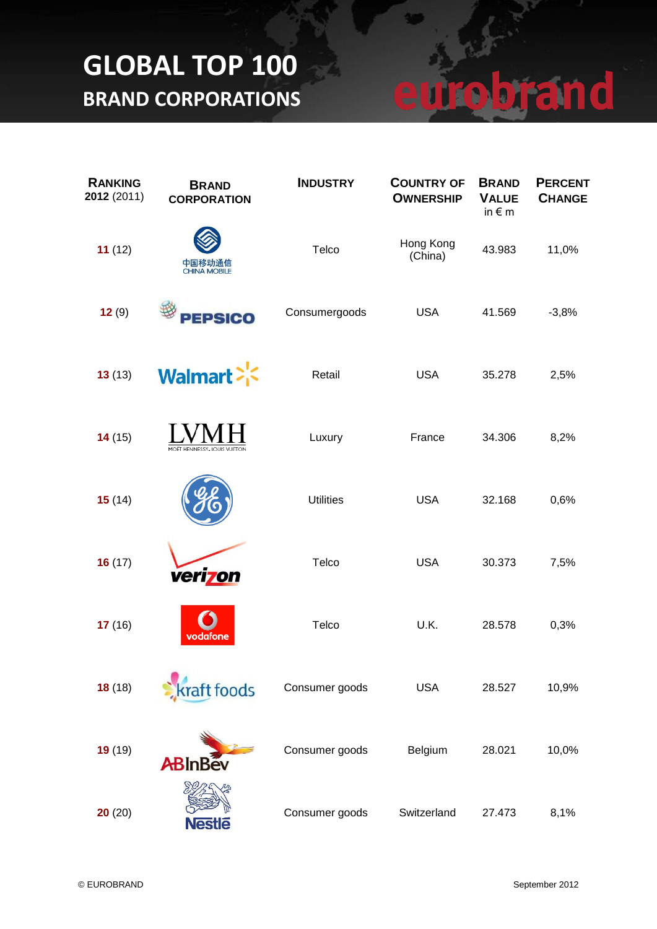| <b>RANKING</b><br>2012 (2011) | <b>BRAND</b><br><b>CORPORATION</b> | <b>INDUSTRY</b>  | <b>COUNTRY OF</b><br><b>OWNERSHIP</b> | <b>BRAND</b><br><b>VALUE</b><br>in $\epsilon$ m | <b>PERCENT</b><br><b>CHANGE</b> |
|-------------------------------|------------------------------------|------------------|---------------------------------------|-------------------------------------------------|---------------------------------|
| 11(12)                        | 中国移动通信<br><b>CHINA MOBILE</b>      | Telco            | Hong Kong<br>(China)                  | 43.983                                          | 11,0%                           |
| 12(9)                         | <b>PEPSICO</b>                     | Consumergoods    | <b>USA</b>                            | 41.569                                          | $-3,8%$                         |
| 13(13)                        | <b>Walmart</b>                     | Retail           | <b>USA</b>                            | 35.278                                          | 2,5%                            |
| 14(15)                        | MOËT HENNESSY. LOUIS VUITTON       | Luxury           | France                                | 34.306                                          | 8,2%                            |
| 15(14)                        |                                    | <b>Utilities</b> | <b>USA</b>                            | 32.168                                          | 0,6%                            |
| 16(17)                        | verizon                            | Telco            | <b>USA</b>                            | 30.373                                          | 7,5%                            |
| 17(16)                        | vodafone                           | Telco            | U.K.                                  | 28.578                                          | 0,3%                            |
| 18(18)                        | craft foods                        | Consumer goods   | <b>USA</b>                            | 28.527                                          | 10,9%                           |
| 19(19)                        | <b>ABInBév</b>                     | Consumer goods   | Belgium                               | 28.021                                          | 10,0%                           |
| 20(20)                        | <b>Nestle</b>                      | Consumer goods   | Switzerland                           | 27.473                                          | 8,1%                            |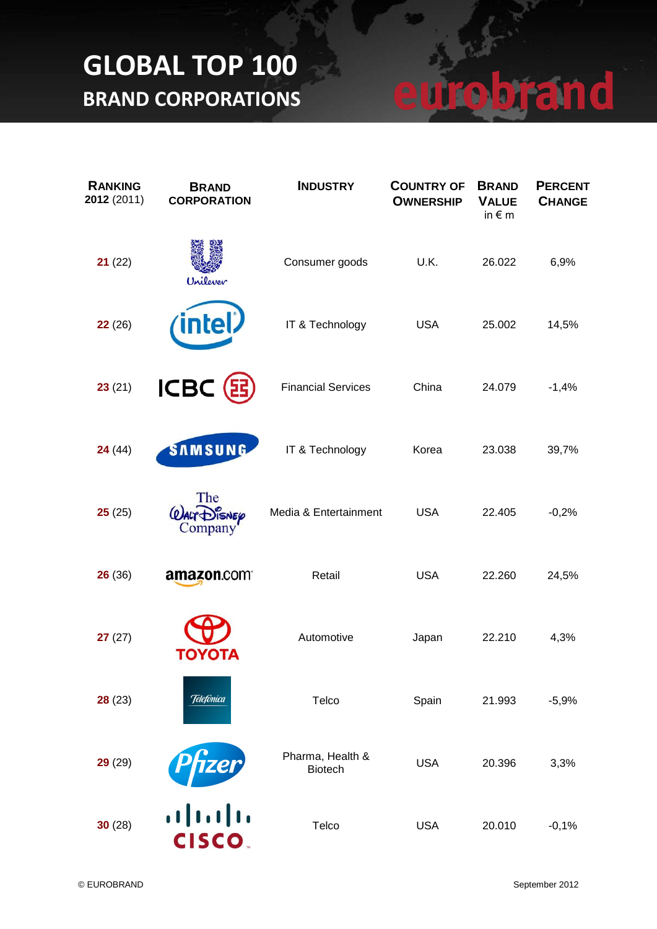| <b>RANKING</b><br>2012 (2011) | <b>BRAND</b><br><b>CORPORATION</b> | <b>INDUSTRY</b>                    | <b>COUNTRY OF</b><br><b>OWNERSHIP</b> | <b>BRAND</b><br><b>VALUE</b><br>in $\epsilon$ m | <b>PERCENT</b><br><b>CHANGE</b> |
|-------------------------------|------------------------------------|------------------------------------|---------------------------------------|-------------------------------------------------|---------------------------------|
| 21(22)                        | Unilever                           | Consumer goods                     | U.K.                                  | 26.022                                          | 6,9%                            |
| 22(26)                        | ntel                               | IT & Technology                    | <b>USA</b>                            | 25.002                                          | 14,5%                           |
| 23(21)                        | <b>ICBC</b>                        | <b>Financial Services</b>          | China                                 | 24.079                                          | $-1,4%$                         |
| 24(44)                        | SAMSUNG                            | IT & Technology                    | Korea                                 | 23.038                                          | 39,7%                           |
| 25(25)                        | The<br><b>JISNEP</b><br>Company    | Media & Entertainment              | <b>USA</b>                            | 22.405                                          | $-0,2%$                         |
| 26(36)                        | amazon.com                         | Retail                             | <b>USA</b>                            | 22.260                                          | 24,5%                           |
| 27(27)                        | ΤΟΥΟΤΑ                             | Automotive                         | Japan                                 | 22.210                                          | 4,3%                            |
| 28(23)                        | <b>Telefonica</b>                  | Telco                              | Spain                                 | 21.993                                          | $-5,9%$                         |
| 29(29)                        | zer                                | Pharma, Health &<br><b>Biotech</b> | <b>USA</b>                            | 20.396                                          | 3,3%                            |
| 30(28)                        | aludn<br><b>CISCO</b>              | Telco                              | <b>USA</b>                            | 20.010                                          | $-0,1%$                         |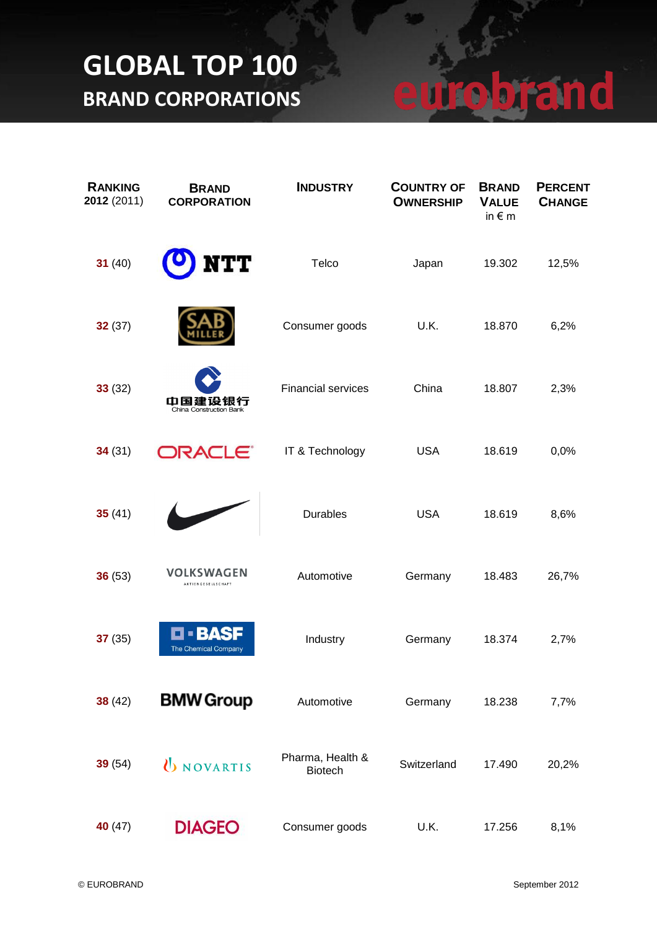| <b>RANKING</b><br>2012 (2011) | <b>BRAND</b><br><b>CORPORATION</b> | <b>INDUSTRY</b>                    | <b>COUNTRY OF</b><br><b>OWNERSHIP</b> | <b>BRAND</b><br><b>VALUE</b><br>in $\epsilon$ m | <b>PERCENT</b><br><b>CHANGE</b> |
|-------------------------------|------------------------------------|------------------------------------|---------------------------------------|-------------------------------------------------|---------------------------------|
| 31 $(40)$                     | TT                                 | Telco                              | Japan                                 | 19.302                                          | 12,5%                           |
| 32(37)                        |                                    | Consumer goods                     | U.K.                                  | 18.870                                          | 6,2%                            |
| 33(32)                        | 中国建设银行<br>China Construction Bank  | <b>Financial services</b>          | China                                 | 18.807                                          | 2,3%                            |
| 34(31)                        | ORACLE <sup>®</sup>                | IT & Technology                    | <b>USA</b>                            | 18.619                                          | 0,0%                            |
| 35(41)                        |                                    | <b>Durables</b>                    | <b>USA</b>                            | 18.619                                          | 8,6%                            |
| 36(53)                        | VOLKSWAGEN<br>AKTIENGESELLSCHAFT   | Automotive                         | Germany                               | 18.483                                          | 26,7%                           |
| 37(35)                        | B/4<br><b>The Chemical Company</b> | Industry                           | Germany                               | 18.374                                          | 2,7%                            |
| 38(42)                        | <b>BMW Group</b>                   | Automotive                         | Germany                               | 18.238                                          | 7,7%                            |
| 39(54)                        | <b>UNOVARTIS</b>                   | Pharma, Health &<br><b>Biotech</b> | Switzerland                           | 17.490                                          | 20,2%                           |
| 40 $(47)$                     | <b>DIAGEO</b>                      | Consumer goods                     | U.K.                                  | 17.256                                          | 8,1%                            |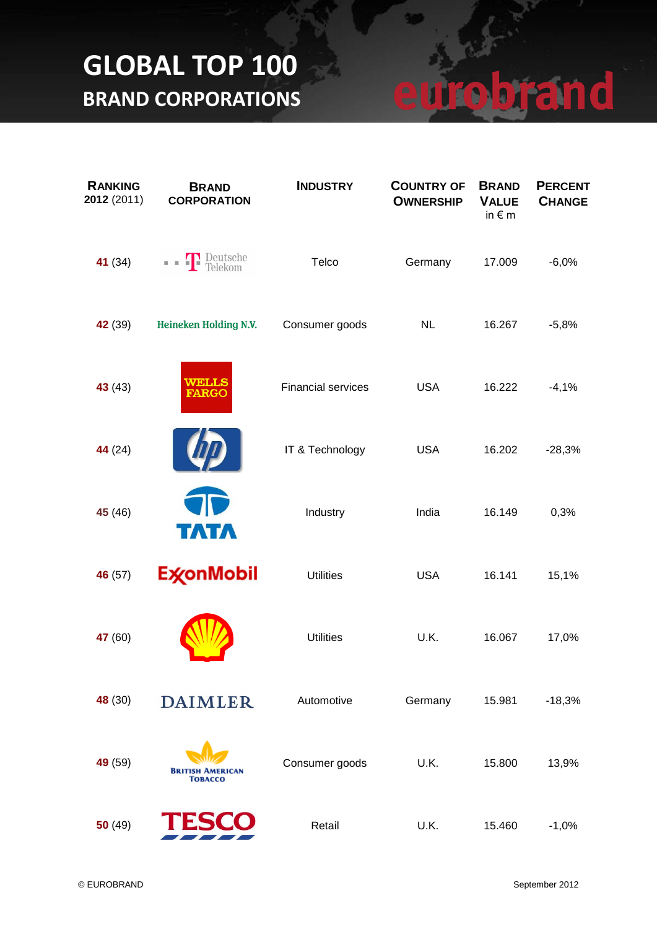| <b>RANKING</b><br>2012 (2011) | <b>BRAND</b><br><b>CORPORATION</b> | <b>INDUSTRY</b>           | <b>COUNTRY OF</b><br><b>OWNERSHIP</b> | <b>BRAND</b><br><b>VALUE</b><br>in $\epsilon$ m | <b>PERCENT</b><br><b>CHANGE</b> |
|-------------------------------|------------------------------------|---------------------------|---------------------------------------|-------------------------------------------------|---------------------------------|
| 41 (34)                       | <b>Deutsche</b><br>Telekom         | Telco                     | Germany                               | 17.009                                          | $-6,0%$                         |
| 42 (39)                       | Heineken Holding N.V.              | Consumer goods            | NL                                    | 16.267                                          | $-5,8%$                         |
| 43(43)                        | WELLS<br><b>FARGO</b>              | <b>Financial services</b> | <b>USA</b>                            | 16.222                                          | $-4,1%$                         |
| 44 (24)                       |                                    | IT & Technology           | <b>USA</b>                            | 16.202                                          | $-28,3%$                        |
| 45 (46)                       | TATA                               | Industry                  | India                                 | 16.149                                          | 0,3%                            |
| 46 (57)                       | ExconMobil                         | <b>Utilities</b>          | <b>USA</b>                            | 16.141                                          | 15,1%                           |
| 47 (60)                       |                                    | <b>Utilities</b>          | U.K.                                  | 16.067                                          | 17,0%                           |
| 48 (30)                       | <b>DAIMLER</b>                     | Automotive                | Germany                               | 15.981                                          | $-18,3%$                        |
| 49 (59)                       | <b>BRITISH</b><br>Товассо          | Consumer goods            | U.K.                                  | 15.800                                          | 13,9%                           |
| 50(49)                        |                                    | Retail                    | U.K.                                  | 15.460                                          | $-1,0%$                         |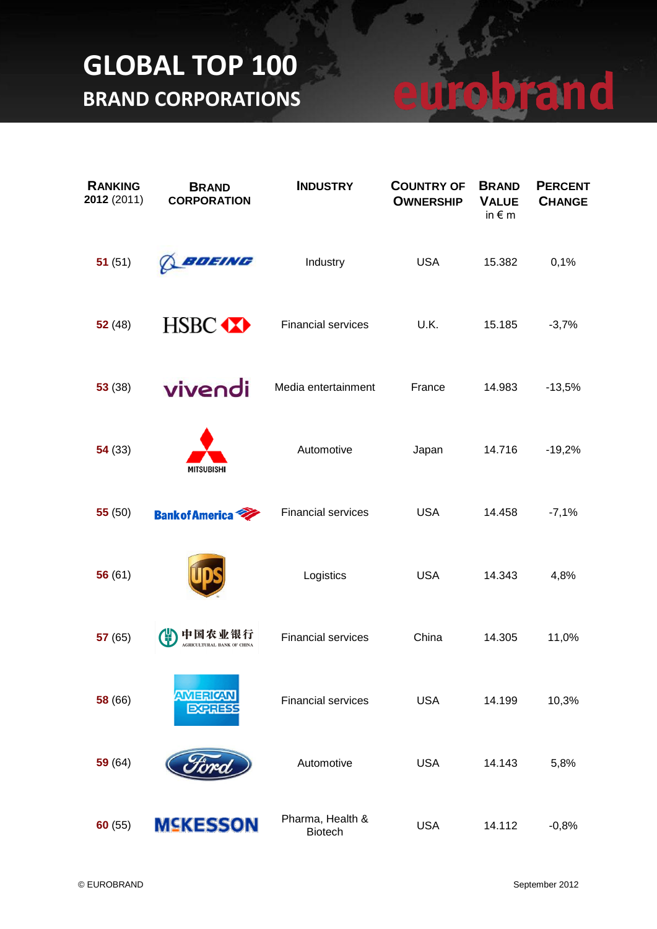| <b>RANKING</b><br>2012 (2011) | <b>BRAND</b><br><b>CORPORATION</b>          | <b>INDUSTRY</b>                    | <b>COUNTRY OF</b><br><b>OWNERSHIP</b> | <b>BRAND</b><br><b>VALUE</b><br>in $\epsilon$ m | <b>PERCENT</b><br><b>CHANGE</b> |
|-------------------------------|---------------------------------------------|------------------------------------|---------------------------------------|-------------------------------------------------|---------------------------------|
| 51(51)                        | BOEING                                      | Industry                           | <b>USA</b>                            | 15.382                                          | 0,1%                            |
| 52(48)                        | HSBC <b>XX</b>                              | <b>Financial services</b>          | U.K.                                  | 15.185                                          | $-3,7%$                         |
| 53(38)                        | vivendi                                     | Media entertainment                | France                                | 14.983                                          | $-13,5%$                        |
| 54(33)                        | <b>MITSUBISHI</b>                           | Automotive                         | Japan                                 | 14.716                                          | $-19,2%$                        |
| 55(50)                        | <b>Bank of America</b>                      | <b>Financial services</b>          | <b>USA</b>                            | 14.458                                          | $-7,1%$                         |
| 56(61)                        |                                             | Logistics                          | <b>USA</b>                            | 14.343                                          | 4,8%                            |
| 57(65)                        | 中国农业银行<br><b>AGRICULTURAL BANK OF CHINA</b> | <b>Financial services</b>          | China                                 | 14.305                                          | 11,0%                           |
| 58 (66)                       | AMERICAN<br><b>EXPRESS</b>                  | <b>Financial services</b>          | <b>USA</b>                            | 14.199                                          | 10,3%                           |
| 59(64)                        |                                             | Automotive                         | <b>USA</b>                            | 14.143                                          | 5,8%                            |
| 60(55)                        | <b>MSKESSON</b>                             | Pharma, Health &<br><b>Biotech</b> | <b>USA</b>                            | 14.112                                          | $-0,8%$                         |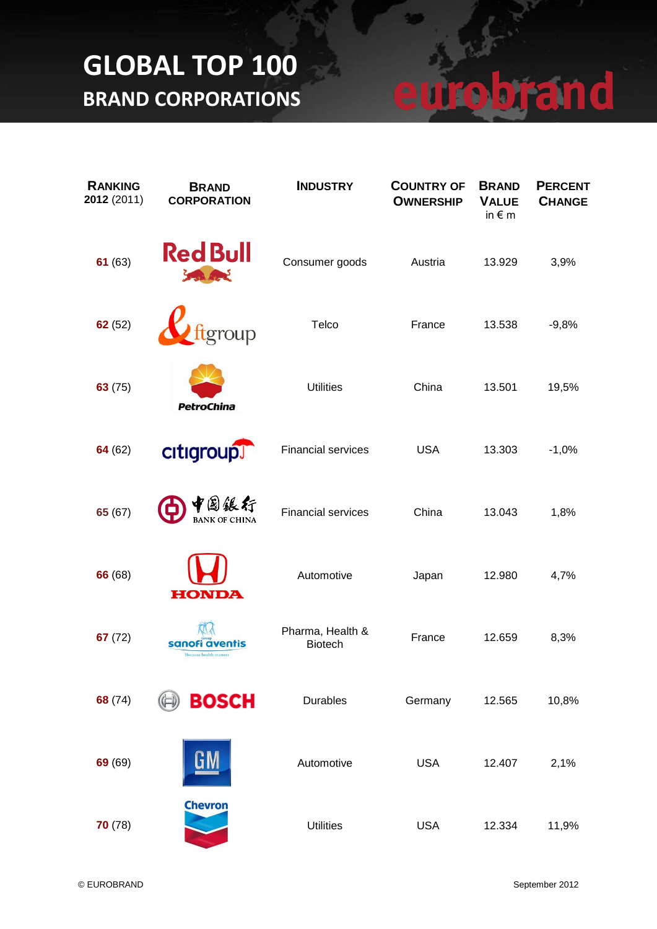| <b>RANKING</b><br>2012 (2011) | <b>BRAND</b><br><b>CORPORATION</b>                  | <b>INDUSTRY</b>                    | <b>COUNTRY OF</b><br><b>OWNERSHIP</b> | <b>BRAND</b><br><b>VALUE</b><br>in $\epsilon$ m | <b>PERCENT</b><br><b>CHANGE</b> |
|-------------------------------|-----------------------------------------------------|------------------------------------|---------------------------------------|-------------------------------------------------|---------------------------------|
| 61(63)                        | <b>Red Bull</b>                                     | Consumer goods                     | Austria                               | 13.929                                          | 3,9%                            |
| 62(52)                        | group                                               | Telco                              | France                                | 13.538                                          | $-9,8%$                         |
| 63(75)                        | <b>PetroChina</b>                                   | <b>Utilities</b>                   | China                                 | 13.501                                          | 19,5%                           |
| 64(62)                        | citigroup                                           | <b>Financial services</b>          | <b>USA</b>                            | 13.303                                          | $-1,0%$                         |
| 65(67)                        | 行                                                   | <b>Financial services</b>          | China                                 | 13.043                                          | 1,8%                            |
| 66 (68)                       | <b>HONDA</b>                                        | Automotive                         | Japan                                 | 12.980                                          | 4,7%                            |
| 67(72)                        | sanofi a<br>rentis<br><b>Because health matters</b> | Pharma, Health &<br><b>Biotech</b> | France                                | 12.659                                          | 8,3%                            |
| 68 (74)                       | <b>BOSCH</b>                                        | <b>Durables</b>                    | Germany                               | 12.565                                          | 10,8%                           |
| 69 (69)                       | GM                                                  | Automotive                         | <b>USA</b>                            | 12.407                                          | 2,1%                            |
| 70(78)                        | <b>Chevron</b>                                      | <b>Utilities</b>                   | <b>USA</b>                            | 12.334                                          | 11,9%                           |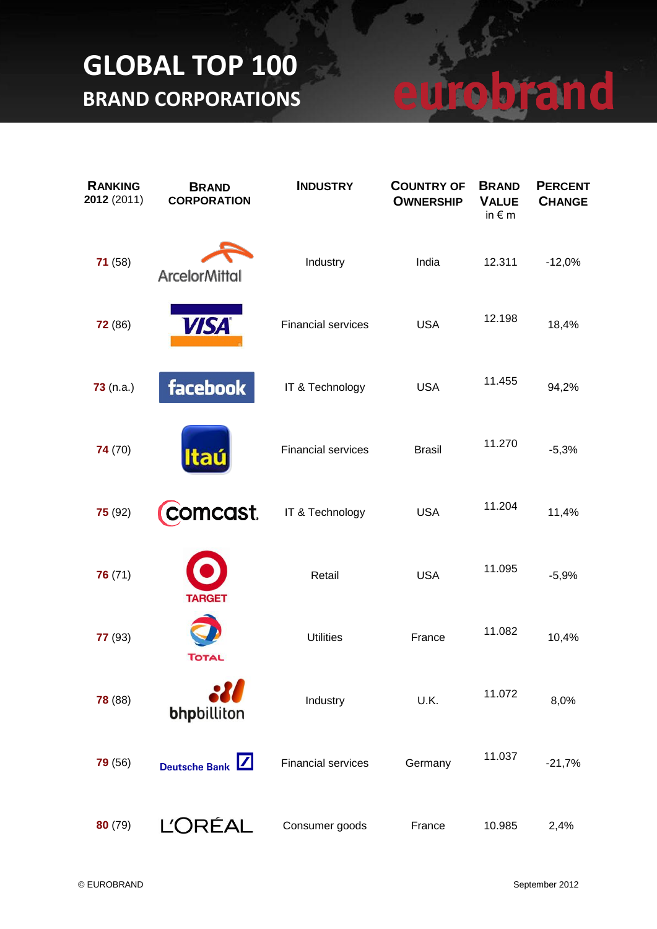| <b>RANKING</b><br>2012 (2011) | <b>BRAND</b><br><b>CORPORATION</b>           | <b>INDUSTRY</b>           | <b>COUNTRY OF</b><br><b>OWNERSHIP</b> | <b>BRAND</b><br><b>VALUE</b><br>in $\epsilon$ m | <b>PERCENT</b><br><b>CHANGE</b> |
|-------------------------------|----------------------------------------------|---------------------------|---------------------------------------|-------------------------------------------------|---------------------------------|
| 71(58)                        | <b>ArcelorMittal</b>                         | Industry                  | India                                 | 12.311                                          | $-12,0%$                        |
| <b>72</b> (86)                | <b>VISA</b>                                  | <b>Financial services</b> | <b>USA</b>                            | 12.198                                          | 18,4%                           |
| 73(n.a.)                      | facebook                                     | IT & Technology           | <b>USA</b>                            | 11.455                                          | 94,2%                           |
| 74 (70)                       | <b>Itaú</b>                                  | <b>Financial services</b> | <b>Brasil</b>                         | 11.270                                          | $-5,3%$                         |
| 75(92)                        | comcast.                                     | IT & Technology           | <b>USA</b>                            | 11.204                                          | 11,4%                           |
| 76(71)                        | <b>TARGET</b>                                | Retail                    | <b>USA</b>                            | 11.095                                          | $-5,9%$                         |
| 77 (93)                       | <b>TOTAL</b>                                 | <b>Utilities</b>          | France                                | 11.082                                          | 10,4%                           |
| 78 (88)                       | bhpbilliton                                  | Industry                  | U.K.                                  | 11.072                                          | 8,0%                            |
| 79(56)                        | $\vert \angle \vert$<br><b>Deutsche Bank</b> | <b>Financial services</b> | Germany                               | 11.037                                          | $-21,7%$                        |
| 80(79)                        | <b>L'ORÉAL</b>                               | Consumer goods            | France                                | 10.985                                          | 2,4%                            |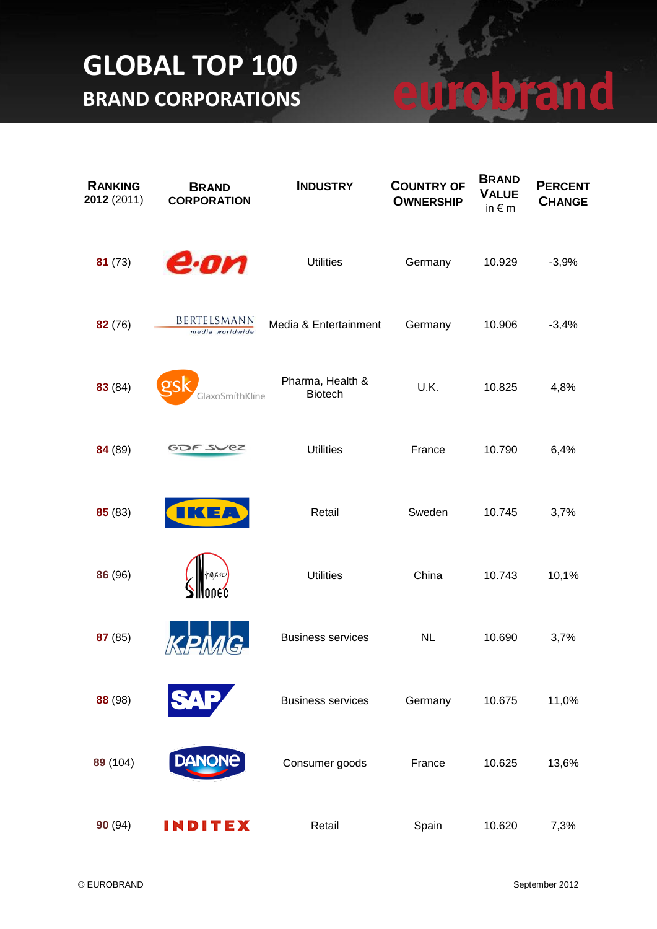| <b>RANKING</b><br>2012 (2011) | <b>BRAND</b><br><b>CORPORATION</b> | <b>INDUSTRY</b>                    | <b>COUNTRY OF</b><br><b>OWNERSHIP</b> | <b>BRAND</b><br><b>VALUE</b><br>in $\notin$ m | <b>PERCENT</b><br><b>CHANGE</b> |
|-------------------------------|------------------------------------|------------------------------------|---------------------------------------|-----------------------------------------------|---------------------------------|
| 81(73)                        | e·on                               | <b>Utilities</b>                   | Germany                               | 10.929                                        | $-3,9%$                         |
| 82 (76)                       | BERTELSMANN<br>media worldwide     | Media & Entertainment              | Germany                               | 10.906                                        | $-3,4%$                         |
| 83 (84)                       | GlaxoSmithKline                    | Pharma, Health &<br><b>Biotech</b> | U.K.                                  | 10.825                                        | 4,8%                            |
| 84 (89)                       | GDF SVEZ                           | <b>Utilities</b>                   | France                                | 10.790                                        | 6,4%                            |
| 85 (83)                       |                                    | Retail                             | Sweden                                | 10.745                                        | 3,7%                            |
| 86 (96)                       | 饲在化                                | <b>Utilities</b>                   | China                                 | 10.743                                        | 10,1%                           |
| 87 (85)                       |                                    | <b>Business services</b>           | <b>NL</b>                             | 10.690                                        | 3,7%                            |
| 88 (98)                       |                                    | <b>Business services</b>           | Germany                               | 10.675                                        | 11,0%                           |
| 89 (104)                      | <b>DANONE</b>                      | Consumer goods                     | France                                | 10.625                                        | 13,6%                           |
| 90(94)                        | INDITEX                            | Retail                             | Spain                                 | 10.620                                        | 7,3%                            |